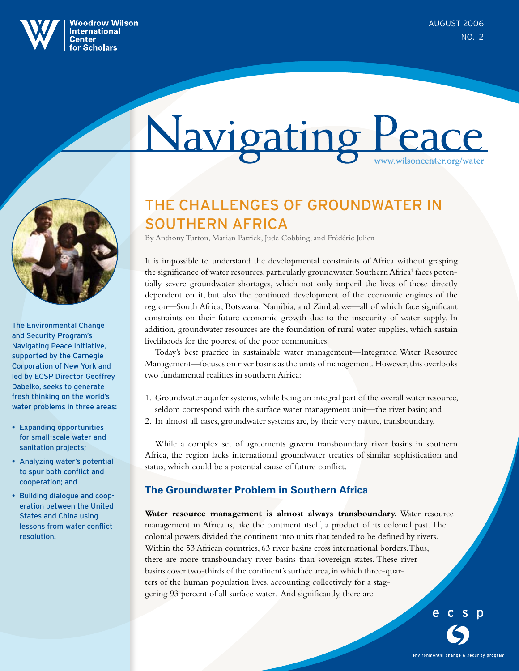August 2006 No. 2



**Woodrow Wilson International Center for Scholars** 

# Navigating Peace wilsoncenter.org/water



The Environmental Change and Security Program's Navigating Peace Initiative, supported by the Carnegie Corporation of New York and led by ECSP Director Geoffrey Dabelko, seeks to generate fresh thinking on the world's water problems in three areas:

- Expanding opportunities for small-scale water and sanitation projects;
- Analyzing water's potential to spur both conflict and cooperation; and
- Building dialogue and cooperation between the United States and China using lessons from water conflict resolution.

### The Challenges Of Groundwater In Southern Africa

By Anthony Turton, Marian Patrick, Jude Cobbing, and Frédéric Julien

It is impossible to understand the developmental constraints of Africa without grasping the significance of water resources, particularly groundwater. Southern Africa<sup>1</sup> faces potentially severe groundwater shortages, which not only imperil the lives of those directly dependent on it, but also the continued development of the economic engines of the region—South Africa, Botswana, Namibia, and Zimbabwe—all of which face significant constraints on their future economic growth due to the insecurity of water supply. In addition, groundwater resources are the foundation of rural water supplies, which sustain livelihoods for the poorest of the poor communities.

Today's best practice in sustainable water management—Integrated Water Resource Management—focuses on river basins as the units of management. However, this overlooks two fundamental realities in southern Africa:

- 1. Groundwater aquifer systems, while being an integral part of the overall water resource, seldom correspond with the surface water management unit—the river basin; and
- 2. In almost all cases, groundwater systems are, by their very nature, transboundary.

While a complex set of agreements govern transboundary river basins in southern Africa, the region lacks international groundwater treaties of similar sophistication and status, which could be a potential cause of future conflict.

#### **The Groundwater Problem in Southern Africa**

**Water resource management is almost always transboundary.** Water resource management in Africa is, like the continent itself, a product of its colonial past. The colonial powers divided the continent into units that tended to be defined by rivers. Within the 53 African countries, 63 river basins cross international borders. Thus, there are more transboundary river basins than sovereign states. These river basins cover two-thirds of the continent's surface area, in which three-quarters of the human population lives, accounting collectively for a staggering 93 percent of all surface water. And significantly, there are

environmental change & security program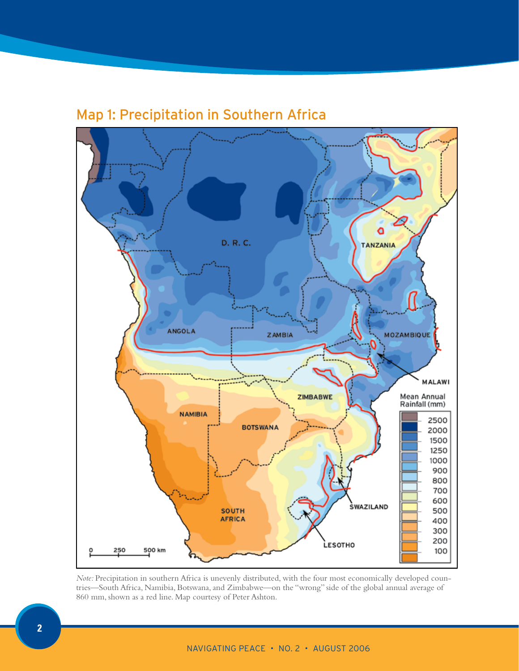

### Map 1: Precipitation in Southern Africa

*Note:* Precipitation in southern Africa is unevenly distributed, with the four most economically developed countries—South Africa, Namibia, Botswana, and Zimbabwe—on the "wrong" side of the global annual average of 860 mm, shown as a red line. Map courtesy of Peter Ashton.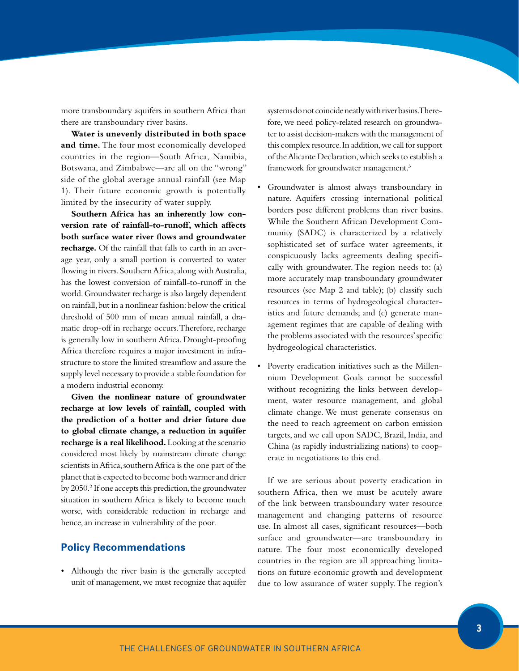more transboundary aquifers in southern Africa than there are transboundary river basins.

**Water is unevenly distributed in both space and time.** The four most economically developed countries in the region—South Africa, Namibia, Botswana, and Zimbabwe—are all on the "wrong" side of the global average annual rainfall (see Map 1). Their future economic growth is potentially limited by the insecurity of water supply.

**Southern Africa has an inherently low conversion rate of rainfall-to-runoff, which affects both surface water river flows and groundwater recharge.** Of the rainfall that falls to earth in an average year, only a small portion is converted to water flowing in rivers. Southern Africa, along with Australia, has the lowest conversion of rainfall-to-runoff in the world. Groundwater recharge is also largely dependent on rainfall, but in a nonlinear fashion: below the critical threshold of 500 mm of mean annual rainfall, a dramatic drop-off in recharge occurs. Therefore, recharge is generally low in southern Africa. Drought-proofing Africa therefore requires a major investment in infrastructure to store the limited streamflow and assure the supply level necessary to provide a stable foundation for a modern industrial economy.

**Given the nonlinear nature of groundwater recharge at low levels of rainfall, coupled with the prediction of a hotter and drier future due to global climate change, a reduction in aquifer recharge is a real likelihood.** Looking at the scenario considered most likely by mainstream climate change scientists in Africa, southern Africa is the one part of the planet that is expected to become both warmer and drier by 2050.<sup>2</sup> If one accepts this prediction, the groundwater situation in southern Africa is likely to become much worse, with considerable reduction in recharge and hence, an increase in vulnerability of the poor.

#### **Policy Recommendations**

• Although the river basin is the generally accepted unit of management, we must recognize that aquifer systems do not coincide neatly with river basins. Therefore, we need policy-related research on groundwater to assist decision-makers with the management of this complex resource. In addition, we call for support of the Alicante Declaration, which seeks to establish a framework for groundwater management.<sup>3</sup>

- Groundwater is almost always transboundary in nature. Aquifers crossing international political borders pose different problems than river basins. While the Southern African Development Community (SADC) is characterized by a relatively sophisticated set of surface water agreements, it conspicuously lacks agreements dealing specifically with groundwater. The region needs to: (a) more accurately map transboundary groundwater resources (see Map 2 and table); (b) classify such resources in terms of hydrogeological characteristics and future demands; and (c) generate management regimes that are capable of dealing with the problems associated with the resources' specific hydrogeological characteristics.
- Poverty eradication initiatives such as the Millennium Development Goals cannot be successful without recognizing the links between development, water resource management, and global climate change. We must generate consensus on the need to reach agreement on carbon emission targets, and we call upon SADC, Brazil, India, and China (as rapidly industrializing nations) to cooperate in negotiations to this end.

If we are serious about poverty eradication in southern Africa, then we must be acutely aware of the link between transboundary water resource management and changing patterns of resource use. In almost all cases, significant resources—both surface and groundwater—are transboundary in nature. The four most economically developed countries in the region are all approaching limitations on future economic growth and development due to low assurance of water supply. The region's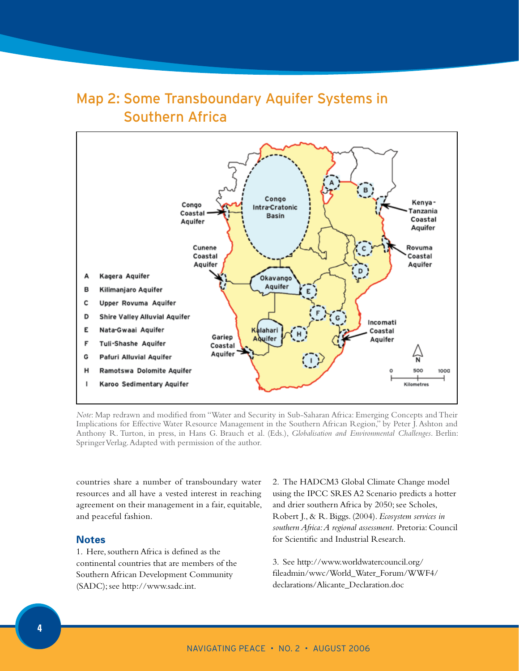### Map 2: Some Transboundary Aquifer Systems in Southern Africa



*Note*: Map redrawn and modified from "Water and Security in Sub-Saharan Africa: Emerging Concepts and Their Implications for Effective Water Resource Management in the Southern African Region," by Peter J. Ashton and Anthony R. Turton, in press, in Hans G. Brauch et al. (Eds.), *Globalisation and Environmental Challenges*. Berlin: Springer Verlag. Adapted with permission of the author.

countries share a number of transboundary water resources and all have a vested interest in reaching agreement on their management in a fair, equitable, and peaceful fashion.

#### **Notes**

1. Here, southern Africa is defined as the continental countries that are members of the Southern African Development Community (SADC); see http://www.sadc.int.

2. The HADCM3 Global Climate Change model using the IPCC SRES A2 Scenario predicts a hotter and drier southern Africa by 2050; see Scholes, Robert J., & R. Biggs. (2004). *Ecosystem services in southern Africa: A regional assessment.* Pretoria: Council for Scientific and Industrial Research.

3. See http://www.worldwatercouncil.org/ fileadmin/wwc/World\_Water\_Forum/WWF4/ declarations/Alicante\_Declaration.doc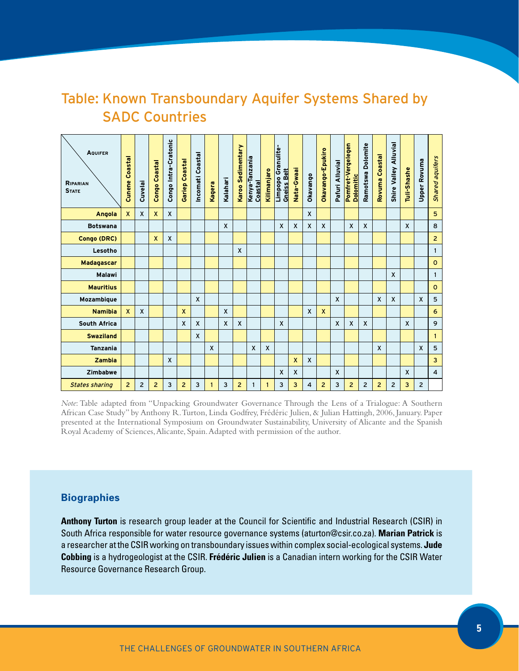### Table: Known Transboundary Aquifer Systems Shared by SADC Countries

| AQUIFER<br>RIPARIAN<br><b>STATE</b> | Coastal<br>Cunene | Cuvelai        | Coastal<br>Congo | Congo Intra-Cratonic | <b>Gariep Coastal</b>     | Incomati Coastal | Kagera       | Kalahari | Karoo Sedimentary | Kenya-Tanzania<br>Coastal | Kilimanjaro               | Limpopo Granulite-<br><b>Gneiss Belt</b> | Nata-Gwaai                | Okavango                  | Okavango-Epukiro | Pafuri Alluvial | Pomfret-Vergelegen<br><b>Dolomitic</b> | Ramotswa Dolomite | Rovuma Coastal | <b>Shire Valley Alluvial</b> | Tuli-Shashe  | Upper Rovuma              | Shared aquifers |
|-------------------------------------|-------------------|----------------|------------------|----------------------|---------------------------|------------------|--------------|----------|-------------------|---------------------------|---------------------------|------------------------------------------|---------------------------|---------------------------|------------------|-----------------|----------------------------------------|-------------------|----------------|------------------------------|--------------|---------------------------|-----------------|
| Angola                              | X                 | X              | X                | X                    |                           |                  |              |          |                   |                           |                           |                                          |                           | $\mathsf{x}$              |                  |                 |                                        |                   |                |                              |              |                           | 5               |
| <b>Botswana</b>                     |                   |                |                  |                      |                           |                  |              | X        |                   |                           |                           | X                                        | $\boldsymbol{\mathsf{X}}$ | $\boldsymbol{\mathsf{X}}$ | X                |                 | $\mathbf{x}$                           | X                 |                |                              | $\mathbf{x}$ |                           | 8               |
| Congo (DRC)                         |                   |                | X                | X                    |                           |                  |              |          |                   |                           |                           |                                          |                           |                           |                  |                 |                                        |                   |                |                              |              |                           | $\overline{2}$  |
| Lesotho                             |                   |                |                  |                      |                           |                  |              |          | X                 |                           |                           |                                          |                           |                           |                  |                 |                                        |                   |                |                              |              |                           | $\mathbf{1}$    |
| <b>Madagascar</b>                   |                   |                |                  |                      |                           |                  |              |          |                   |                           |                           |                                          |                           |                           |                  |                 |                                        |                   |                |                              |              |                           | $\mathbf 0$     |
| <b>Malawi</b>                       |                   |                |                  |                      |                           |                  |              |          |                   |                           |                           |                                          |                           |                           |                  |                 |                                        |                   |                | X                            |              |                           | 1               |
| <b>Mauritius</b>                    |                   |                |                  |                      |                           |                  |              |          |                   |                           |                           |                                          |                           |                           |                  |                 |                                        |                   |                |                              |              |                           | $\mathbf 0$     |
| Mozambique                          |                   |                |                  |                      |                           | X                |              |          |                   |                           |                           |                                          |                           |                           |                  | X               |                                        |                   | X              | X                            |              | $\boldsymbol{\mathsf{x}}$ | 5               |
| <b>Namibia</b>                      | X                 | X              |                  |                      | $\mathsf{x}$              |                  |              | X        |                   |                           |                           |                                          |                           | $\mathsf{x}$              | $\mathsf{x}$     |                 |                                        |                   |                |                              |              |                           | 6               |
| <b>South Africa</b>                 |                   |                |                  |                      | $\boldsymbol{\mathsf{x}}$ | X                |              | X        | X                 |                           |                           | X                                        |                           |                           |                  | X               | X                                      | X                 |                |                              | X            |                           | 9               |
| <b>Swaziland</b>                    |                   |                |                  |                      |                           | X                |              |          |                   |                           |                           |                                          |                           |                           |                  |                 |                                        |                   |                |                              |              |                           | 1               |
| <b>Tanzania</b>                     |                   |                |                  |                      |                           |                  | $\mathsf{x}$ |          |                   | $\boldsymbol{\mathsf{x}}$ | $\boldsymbol{\mathsf{x}}$ |                                          |                           |                           |                  |                 |                                        |                   | X              |                              |              | $\boldsymbol{X}$          | 5               |
| Zambia                              |                   |                |                  | X                    |                           |                  |              |          |                   |                           |                           |                                          | $\mathsf{x}$              | X                         |                  |                 |                                        |                   |                |                              |              |                           | 3               |
| Zimbabwe                            |                   |                |                  |                      |                           |                  |              |          |                   |                           |                           | X                                        | X                         |                           |                  | X               |                                        |                   |                |                              | X            |                           | $\overline{4}$  |
| <b>States sharing</b>               | $\overline{2}$    | $\overline{c}$ | $\overline{2}$   | 3                    | $\overline{2}$            | 3                | 1            | 3        | $\overline{2}$    | 1                         | 1                         | 3                                        | 3                         | $\overline{4}$            | 2                | 3               | 2                                      | $\overline{2}$    | $\overline{2}$ | $\overline{c}$               | 3            | $\overline{2}$            |                 |

*Note*: Table adapted from "Unpacking Groundwater Governance Through the Lens of a Trialogue: A Southern African Case Study" by Anthony R. Turton, Linda Godfrey, Frédéric Julien, & Julian Hattingh, 2006, January. Paper presented at the International Symposium on Groundwater Sustainability, University of Alicante and the Spanish Royal Academy of Sciences, Alicante, Spain. Adapted with permission of the author.

#### **Biographies**

**Anthony Turton** is research group leader at the Council for Scientific and Industrial Research (CSIR) in South Africa responsible for water resource governance systems (aturton@csir.co.za). **Marian Patrick** is a researcher at the CSIR working on transboundary issues within complex social-ecological systems. **Jude Cobbing** is a hydrogeologist at the CSIR. **Frédéric Julien** is a Canadian intern working for the CSIR Water Resource Governance Research Group.